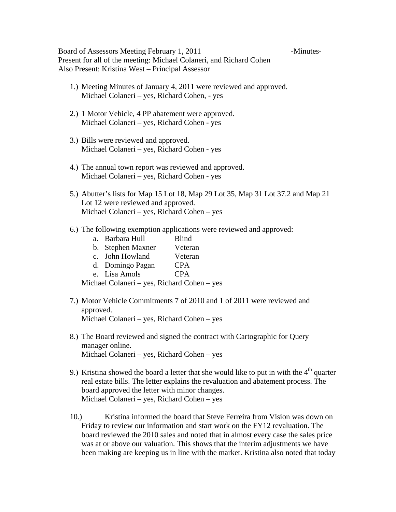Board of Assessors Meeting February 1, 2011 - Minutes-Present for all of the meeting: Michael Colaneri, and Richard Cohen Also Present: Kristina West – Principal Assessor

- 1.) Meeting Minutes of January 4, 2011 were reviewed and approved. Michael Colaneri – yes, Richard Cohen, - yes
- 2.) 1 Motor Vehicle, 4 PP abatement were approved. Michael Colaneri – yes, Richard Cohen - yes
- 3.) Bills were reviewed and approved. Michael Colaneri – yes, Richard Cohen - yes
- 4.) The annual town report was reviewed and approved. Michael Colaneri – yes, Richard Cohen - yes
- 5.) Abutter's lists for Map 15 Lot 18, Map 29 Lot 35, Map 31 Lot 37.2 and Map 21 Lot 12 were reviewed and approved. Michael Colaneri – yes, Richard Cohen – yes
- 6.) The following exemption applications were reviewed and approved:
	- a. Barbara Hull Blind
	- b. Stephen Maxner Veteran
	- c. John Howland Veteran
	- d. Domingo Pagan CPA
	- e. Lisa Amols CPA

Michael Colaneri – yes, Richard Cohen – yes

- 7.) Motor Vehicle Commitments 7 of 2010 and 1 of 2011 were reviewed and approved. Michael Colaneri – yes, Richard Cohen – yes
- 8.) The Board reviewed and signed the contract with Cartographic for Query manager online. Michael Colaneri – yes, Richard Cohen – yes
- 9.) Kristina showed the board a letter that she would like to put in with the  $4<sup>th</sup>$  quarter real estate bills. The letter explains the revaluation and abatement process. The board approved the letter with minor changes. Michael Colaneri – yes, Richard Cohen – yes
- 10.) Kristina informed the board that Steve Ferreira from Vision was down on Friday to review our information and start work on the FY12 revaluation. The board reviewed the 2010 sales and noted that in almost every case the sales price was at or above our valuation. This shows that the interim adjustments we have been making are keeping us in line with the market. Kristina also noted that today